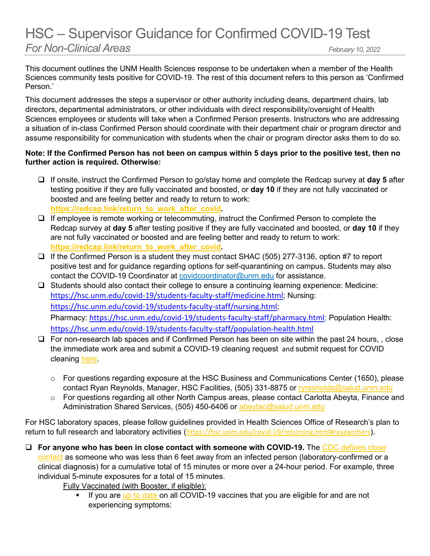## HSC – Supervisor Guidance for Confirmed COVID-19 Test *For Non-Clinical Areas February 10, 2022*

This document outlines the UNM Health Sciences response to be undertaken when a member of the Health Sciences community tests positive for COVID-19. The rest of this document refers to this person as 'Confirmed Person.'

This document addresses the steps a supervisor or other authority including deans, department chairs, lab directors, departmental administrators, or other individuals with direct responsibility/oversight of Health Sciences employees or students will take when a Confirmed Person presents. Instructors who are addressing a situation of in-class Confirmed Person should coordinate with their department chair or program director and assume responsibility for communication with students when the chair or program director asks them to do so.

## **Note: If the Confirmed Person has not been on campus within 5 days prior to the positive test, then no further action is required. Otherwise:**

- If onsite, instruct the Confirmed Person to go/stay home and complete the Redcap survey at **day 5** after testing positive if they are fully vaccinated and boosted, or **day 10** if they are not fully vaccinated or boosted and are feeling better and ready to return to work: **[https://redcap.link/return\\_to\\_work\\_after\\_covid.](https://redcap.link/return_to_work_after_covid)**
- $\Box$  If employee is remote working or telecommuting, instruct the Confirmed Person to complete the Redcap survey at **day 5** after testing positive if they are fully vaccinated and boosted, or **day 10** if they are not fully vaccinated or boosted and are feeling better and ready to return to work: **[https://redcap.link/return\\_to\\_work\\_after\\_covid.](https://redcap.link/return_to_work_after_covid)**
- $\Box$  If the Confirmed Person is a student they must contact SHAC (505) 277-3136, option #7 to report positive test and for guidance regarding options for self-quarantining on campus. Students may also contact the COVID-19 Coordinator at [covidcoordinator@unm.edu](mailto:covidcoordinator@unm.edu) for assistance.
- □ Students should also contact their college to ensure a continuing learning experience: Medicine: <https://hsc.unm.edu/covid-19/students-faculty-staff/medicine.html>; Nursing: <https://hsc.unm.edu/covid-19/students-faculty-staff/nursing.html>; Pharmacy: <https://hsc.unm.edu/covid-19/students-faculty-staff/pharmacy.html>; Population Health: <https://hsc.unm.edu/covid-19/students-faculty-staff/population-health.html>
- $\Box$  For non-research lab spaces and if Confirmed Person has been on site within the past 24 hours, , close the immediate work area and submit a COVID-19 cleaning request and submit request for COVID cleaning [here.](https://app.smartsheet.com/b/form/02246223b1e34c79967c71c887ea2826)
	- o For questions regarding exposure at the HSC Business and Communications Center (1650), please contact Ryan Reynolds, Manager, HSC Facilities, (505) 331-8875 or [ryreynolds@salud.unm.edu](mailto:ryreynolds@salud.unm.edu)
	- o For questions regarding all other North Campus areas, please contact Carlotta Abeyta, Finance and Administration Shared Services, (505) 450-6406 or [abeytac@salud.unm.edu](mailto:abeytac@salud.unm.edu)

For HSC laboratory spaces, please follow guidelines provided in Health Sciences Office of Research's plan to return to full research and laboratory activities (<https://hsc.unm.edu/covid-19/returning.html#researchers>).

 **For anyone who has been in close contact with someone with COVID-19.** The [CDC defines close](https://www.cdc.gov/coronavirus/2019-ncov/your-health/quarantine-isolation.html)  [contact](https://www.cdc.gov/coronavirus/2019-ncov/your-health/quarantine-isolation.html) as someone who was less than 6 feet away from an infected person (laboratory-confirmed or a clinical diagnosis) for a cumulative total of 15 minutes or more over a 24-hour period. For example, three individual 5-minute exposures for a total of 15 minutes.

Fully Vaccinated (with Booster, if eligible):

 If you are [up to date](https://na01.safelinks.protection.outlook.com/?url=https%3A%2F%2Fr20.rs6.net%2Ftn.jsp%3Ff%3D001zEW_QD1qUbeoFwCJfQhBsWn3VTl02GHVa4NoZe2CFg3iRwyqDb3NrVx7t8xWVhKFirmfvgIxrS7TelHUHuP5_mO-orANDvIjUMV3MfmRdsYC2NJgNDqFOVTU_WM10BWxGWwE2lai-j-xZiSN_qIrCqIBOKY9HEzWPGbMhrOXQmnKuUwC8SghCqjsoLNP_CpJd2SpMrvgVlhtseNcdPzmGFqmhDW3UEm7vQPf5DBR2FnsXO-TSaEJU_XlDXlWfBXQ0divWXhXw-2Lh15bML-AZz82Igfqwqvijt1XyQxqrN00qKrSOaOPJR-AhySR2pad83Ob6xt6Ff4mp0eG26GEO8y7MMFJdFyYVb2Q1wIPG6TQtI-d4sA4A-NDYYXBAZnvnreTSG45iUb--tmMdbxrk6HYBEWO_C_EdTrfWDvUBwx2Lb3Nb_GBVCygikhYzKBpAZ5czKVwF03PS65tUZjH5URZYl0Nb9qrP-eAengNac_Ak1YzAXqBssLzmvIoZZyXLvMlhsoNUdmu_iOFVAO2zwe7TAoRRkv55iHnT4Pwc_OLzWQ0T0oFvQVOH-PpAXadnu2E_DE4pc4bicVZQ-O7GUZ3Yg8shxHn9ceC79N8qxJRPUrJ3aaRi12XVTMU8BmEqLezkT3xV5DJouJij2nm4WzvbTZsDBubVpfc8bmAVtVdVDLl14oIBYKauq7BP3zIdF2-zQrKkP2qR2e0Zj4Y_BDyYbOtLpMzJVq-xzFMymZ0gxwGh_K38j8C3kN5AGT14lctQYyzz-hU4o3equj0xw%3D%3D%26c%3DUbq0MVDP8qvVai2pNrt5WTK3uFxO59mVbYHNNmpej7Dq9f_ObaP1zg%3D%3D%26ch%3D9obAI_VgKFGxv7xo6EmI7xYbEjjagoUsopLhQZqC9Yh358Ugd7rHug%3D%3D&data=04%7C01%7C%7C14b75a9644ed4c8b4a8308d9d1ea42d0%7C84df9e7fe9f640afb435aaaaaaaaaaaa%7C1%7C0%7C637771626363328348%7CUnknown%7CTWFpbGZsb3d8eyJWIjoiMC4wLjAwMDAiLCJQIjoiV2luMzIiLCJBTiI6Ik1haWwiLCJXVCI6Mn0%3D%7C3000&sdata=WW4T9%2FR0Kf8v19th6Pqu10H06yjX8oRGxBt8UKlXr5M%3D&reserved=0) on all COVID-19 vaccines that you are eligible for and are not experiencing symptoms: